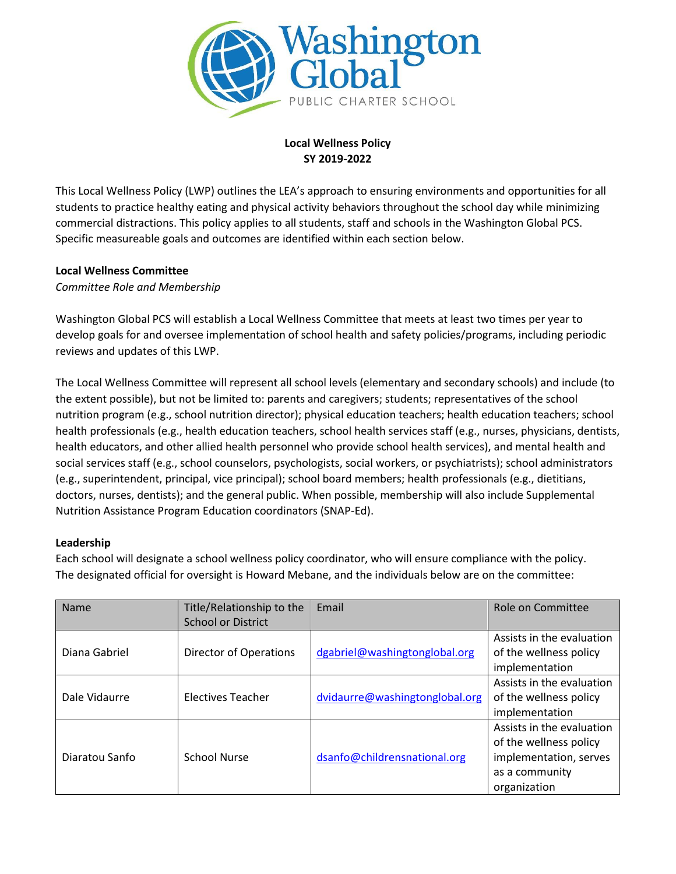

# **Local Wellness Policy SY 2019-2022**

This Local Wellness Policy (LWP) outlines the LEA's approach to ensuring environments and opportunities for all students to practice healthy eating and physical activity behaviors throughout the school day while minimizing commercial distractions. This policy applies to all students, staff and schools in the Washington Global PCS. Specific measureable goals and outcomes are identified within each section below.

# **Local Wellness Committee**

*Committee Role and Membership* 

Washington Global PCS will establish a Local Wellness Committee that meets at least two times per year to develop goals for and oversee implementation of school health and safety policies/programs, including periodic reviews and updates of this LWP.

The Local Wellness Committee will represent all school levels (elementary and secondary schools) and include (to the extent possible), but not be limited to: parents and caregivers; students; representatives of the school nutrition program (e.g., school nutrition director); physical education teachers; health education teachers; school health professionals (e.g., health education teachers, school health services staff (e.g., nurses, physicians, dentists, health educators, and other allied health personnel who provide school health services), and mental health and social services staff (e.g., school counselors, psychologists, social workers, or psychiatrists); school administrators (e.g., superintendent, principal, vice principal); school board members; health professionals (e.g., dietitians, doctors, nurses, dentists); and the general public. When possible, membership will also include Supplemental Nutrition Assistance Program Education coordinators (SNAP-Ed).

# **Leadership**

Each school will designate a school wellness policy coordinator, who will ensure compliance with the policy. The designated official for oversight is Howard Mebane, and the individuals below are on the committee:

| Name           | Title/Relationship to the | Email                          | Role on Committee         |
|----------------|---------------------------|--------------------------------|---------------------------|
|                | <b>School or District</b> |                                |                           |
|                |                           |                                | Assists in the evaluation |
| Diana Gabriel  | Director of Operations    | dgabriel@washingtonglobal.org  | of the wellness policy    |
|                |                           |                                | implementation            |
|                |                           |                                | Assists in the evaluation |
| Dale Vidaurre  | <b>Electives Teacher</b>  | dvidaurre@washingtonglobal.org | of the wellness policy    |
|                |                           |                                | implementation            |
| Diaratou Sanfo | <b>School Nurse</b>       | dsanfo@childrensnational.org   | Assists in the evaluation |
|                |                           |                                | of the wellness policy    |
|                |                           |                                | implementation, serves    |
|                |                           |                                | as a community            |
|                |                           |                                | organization              |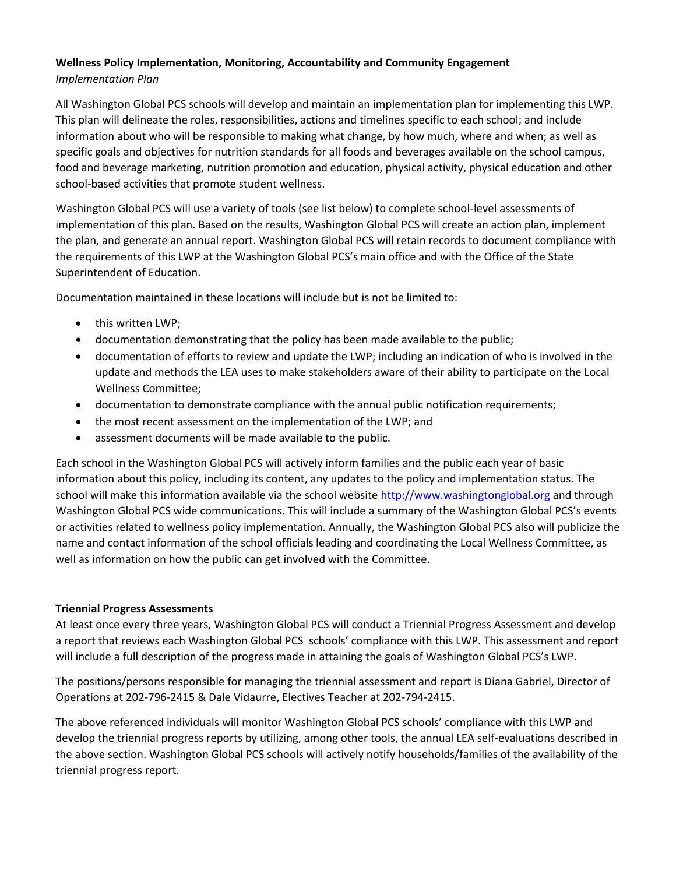### **Wellness Policy Implementation, Monitoring, Accountability and Community Engagement**  *Implementation Plan*

All Washington Global PCS schools will develop and maintain an implementation plan for implementing this LWP. This plan will delineate the roles, responsibilities, actions and timelines specific to each school; and include information about who will be responsible to making what change, by how much, where and when; as well as specific goals and objectives for nutrition standards for all foods and beverages available on the school campus, food and beverage marketing, nutrition promotion and education, physical activity, physical education and other school-based activities that promote student wellness.

Washington Global PCS will use a variety of tools (see list below) to complete school-level assessments of implementation of this plan. Based on the results, Washington Global PCS will create an action plan, implement the plan, and generate an annual report. Washington Global PCS will retain records to document compliance with the requirements of this LWP at the Washington Global PCS's main office and with the Office of the State Superintendent of Education.

Documentation maintained in these locations will include but is not be limited to:

- this written LWP;
- documentation demonstrating that the policy has been made available to the public;
- documentation of efforts to review and update the LWP; including an indication of who is involved in the update and methods the LEA uses to make stakeholders aware of their ability to participate on the Local Wellness Committee;
- documentation to demonstrate compliance with the annual public notification requirements;
- the most recent assessment on the implementation of the LWP; and
- assessment documents will be made available to the public.

Each school in the Washington Global PCS will actively inform families and the public each year of basic information about this policy, including its content, any updates to the policy and implementation status. The school will make this information available via the school website [http://www.washingtonglobal.org](http://www.washingtonglobal.org/) and through Washington Global PCS wide communications. This will include a summary of the Washington Global PCS's events or activities related to wellness policy implementation. Annually, the Washington Global PCS also will publicize the name and contact information of the school officials leading and coordinating the Local Wellness Committee, as well as information on how the public can get involved with the Committee.

#### **Triennial Progress Assessments**

At least once every three years, Washington Global PCS will conduct a Triennial Progress Assessment and develop a report that reviews each Washington Global PCS schools' compliance with this LWP. This assessment and report will include a full description of the progress made in attaining the goals of Washington Global PCS's LWP.

The positions/persons responsible for managing the triennial assessment and report is Diana Gabriel, Director of Operations at 202-796-2415 & Dale Vidaurre, Electives Teacher at 202-794-2415.

The above referenced individuals will monitor Washington Global PCS schools' compliance with this LWP and develop the triennial progress reports by utilizing, among other tools, the annual LEA self-evaluations described in the above section. Washington Global PCS schools will actively notify households/families of the availability of the triennial progress report.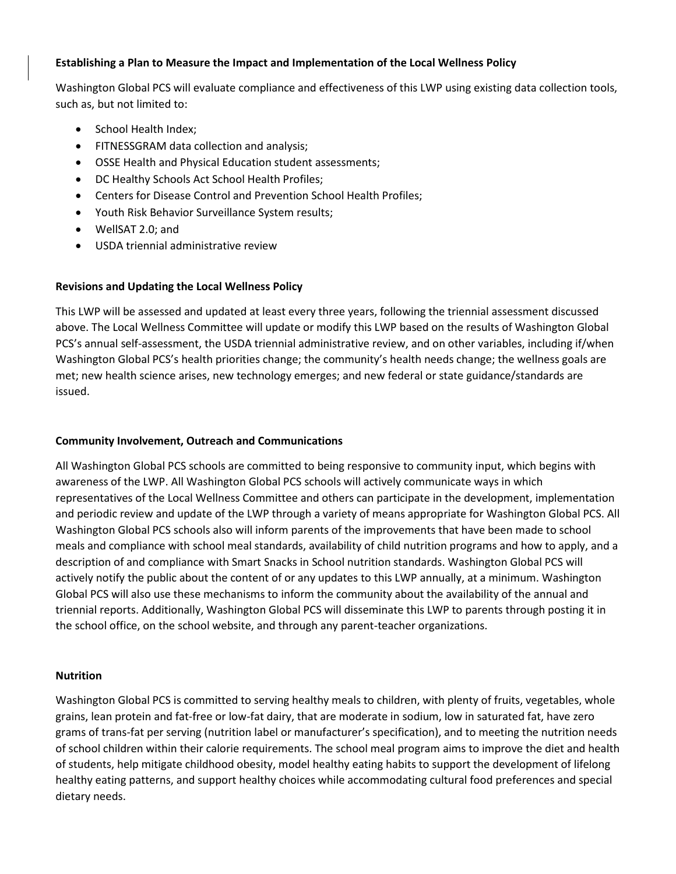### **Establishing a Plan to Measure the Impact and Implementation of the Local Wellness Policy**

Washington Global PCS will evaluate compliance and effectiveness of this LWP using existing data collection tools, such as, but not limited to:

- School Health Index;
- FITNESSGRAM data collection and analysis;
- OSSE Health and Physical Education student assessments;
- DC Healthy Schools Act School Health Profiles;
- Centers for Disease Control and Prevention School Health Profiles;
- Youth Risk Behavior Surveillance System results;
- WellSAT 2.0; and
- USDA triennial administrative review

# **Revisions and Updating the Local Wellness Policy**

This LWP will be assessed and updated at least every three years, following the triennial assessment discussed above. The Local Wellness Committee will update or modify this LWP based on the results of Washington Global PCS's annual self-assessment, the USDA triennial administrative review, and on other variables, including if/when Washington Global PCS's health priorities change; the community's health needs change; the wellness goals are met; new health science arises, new technology emerges; and new federal or state guidance/standards are issued.

### **Community Involvement, Outreach and Communications**

All Washington Global PCS schools are committed to being responsive to community input, which begins with awareness of the LWP. All Washington Global PCS schools will actively communicate ways in which representatives of the Local Wellness Committee and others can participate in the development, implementation and periodic review and update of the LWP through a variety of means appropriate for Washington Global PCS. All Washington Global PCS schools also will inform parents of the improvements that have been made to school meals and compliance with school meal standards, availability of child nutrition programs and how to apply, and a description of and compliance with Smart Snacks in School nutrition standards. Washington Global PCS will actively notify the public about the content of or any updates to this LWP annually, at a minimum. Washington Global PCS will also use these mechanisms to inform the community about the availability of the annual and triennial reports. Additionally, Washington Global PCS will disseminate this LWP to parents through posting it in the school office, on the school website, and through any parent-teacher organizations.

# **Nutrition**

Washington Global PCS is committed to serving healthy meals to children, with plenty of fruits, vegetables, whole grains, lean protein and fat-free or low-fat dairy, that are moderate in sodium, low in saturated fat, have zero grams of trans-fat per serving (nutrition label or manufacturer's specification), and to meeting the nutrition needs of school children within their calorie requirements. The school meal program aims to improve the diet and health of students, help mitigate childhood obesity, model healthy eating habits to support the development of lifelong healthy eating patterns, and support healthy choices while accommodating cultural food preferences and special dietary needs.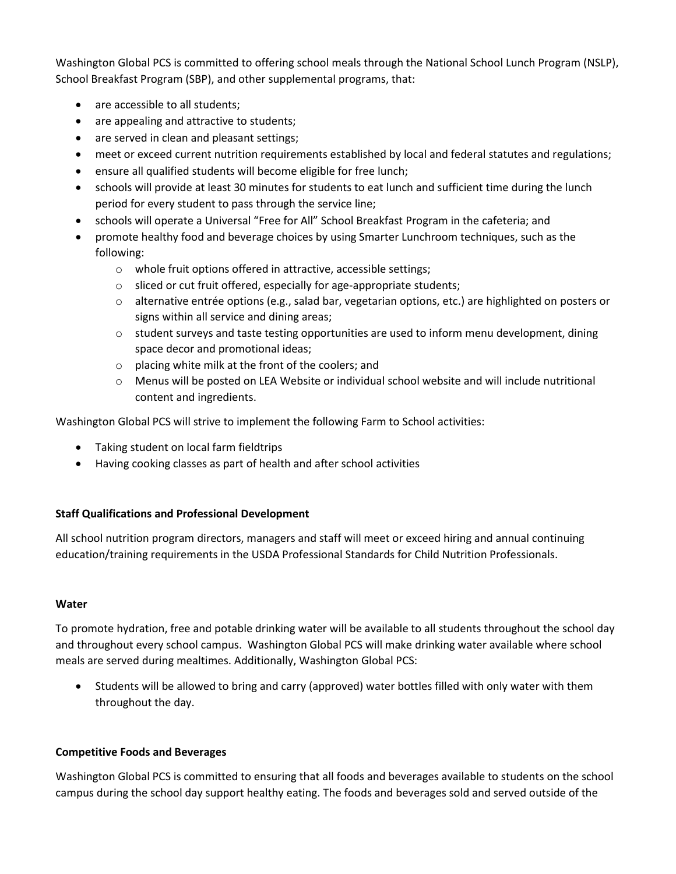Washington Global PCS is committed to offering school meals through the National School Lunch Program (NSLP), School Breakfast Program (SBP), and other supplemental programs, that:

- are accessible to all students;
- are appealing and attractive to students;
- are served in clean and pleasant settings;
- meet or exceed current nutrition requirements established by local and federal statutes and regulations;
- ensure all qualified students will become eligible for free lunch;
- schools will provide at least 30 minutes for students to eat lunch and sufficient time during the lunch period for every student to pass through the service line;
- schools will operate a Universal "Free for All" School Breakfast Program in the cafeteria; and
- promote healthy food and beverage choices by using Smarter Lunchroom techniques, such as the following:
	- o whole fruit options offered in attractive, accessible settings;
	- o sliced or cut fruit offered, especially for age-appropriate students;
	- $\circ$  alternative entrée options (e.g., salad bar, vegetarian options, etc.) are highlighted on posters or signs within all service and dining areas;
	- $\circ$  student surveys and taste testing opportunities are used to inform menu development, dining space decor and promotional ideas;
	- o placing white milk at the front of the coolers; and
	- $\circ$  Menus will be posted on LEA Website or individual school website and will include nutritional content and ingredients.

Washington Global PCS will strive to implement the following Farm to School activities:

- Taking student on local farm fieldtrips
- Having cooking classes as part of health and after school activities

# **Staff Qualifications and Professional Development**

All school nutrition program directors, managers and staff will meet or exceed hiring and annual continuing education/training requirements in the USDA Professional Standards for Child Nutrition Professionals.

# **Water**

To promote hydration, free and potable drinking water will be available to all students throughout the school day and throughout every school campus. Washington Global PCS will make drinking water available where school meals are served during mealtimes. Additionally, Washington Global PCS:

 Students will be allowed to bring and carry (approved) water bottles filled with only water with them throughout the day.

# **Competitive Foods and Beverages**

Washington Global PCS is committed to ensuring that all foods and beverages available to students on the school campus during the school day support healthy eating. The foods and beverages sold and served outside of the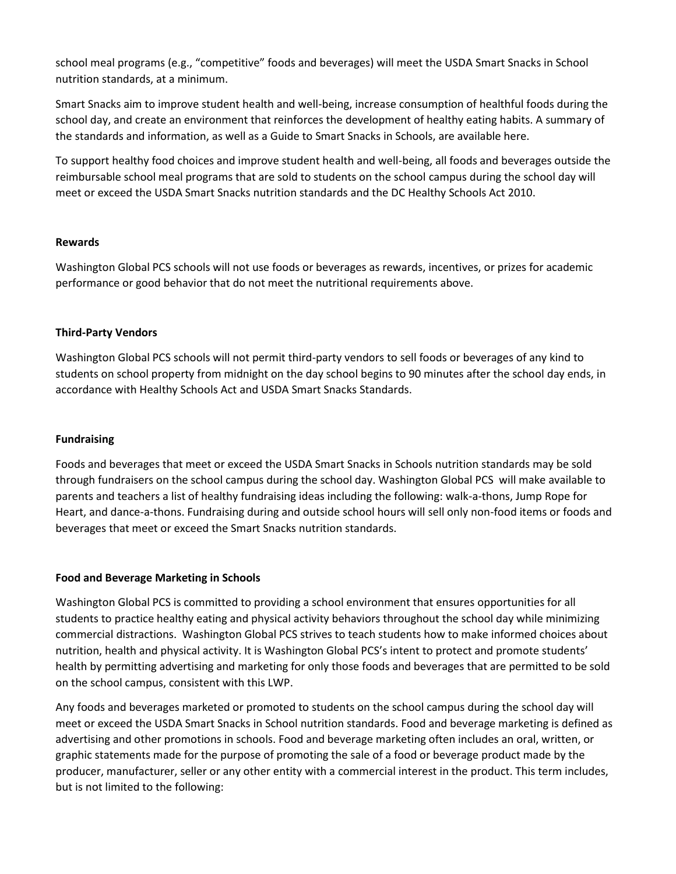school meal programs (e.g., "competitive" foods and beverages) will meet the USDA Smart Snacks in School nutrition standards, at a minimum.

Smart Snacks aim to improve student health and well-being, increase consumption of healthful foods during the school day, and create an environment that reinforces the development of healthy eating habits. A summary of the standards and information, as well as a Guide to Smart Snacks in Schools, are available here.

To support healthy food choices and improve student health and well-being, all foods and beverages outside the reimbursable school meal programs that are sold to students on the school campus during the school day will meet or exceed the USDA Smart Snacks nutrition standards and the DC Healthy Schools Act 2010.

#### **Rewards**

Washington Global PCS schools will not use foods or beverages as rewards, incentives, or prizes for academic performance or good behavior that do not meet the nutritional requirements above.

### **Third-Party Vendors**

Washington Global PCS schools will not permit third-party vendors to sell foods or beverages of any kind to students on school property from midnight on the day school begins to 90 minutes after the school day ends, in accordance with Healthy Schools Act and USDA Smart Snacks Standards.

### **Fundraising**

Foods and beverages that meet or exceed the USDA Smart Snacks in Schools nutrition standards may be sold through fundraisers on the school campus during the school day. Washington Global PCS will make available to parents and teachers a list of healthy fundraising ideas including the following: walk-a-thons, Jump Rope for Heart, and dance-a-thons. Fundraising during and outside school hours will sell only non-food items or foods and beverages that meet or exceed the Smart Snacks nutrition standards.

#### **Food and Beverage Marketing in Schools**

Washington Global PCS is committed to providing a school environment that ensures opportunities for all students to practice healthy eating and physical activity behaviors throughout the school day while minimizing commercial distractions. Washington Global PCS strives to teach students how to make informed choices about nutrition, health and physical activity. It is Washington Global PCS's intent to protect and promote students' health by permitting advertising and marketing for only those foods and beverages that are permitted to be sold on the school campus, consistent with this LWP.

Any foods and beverages marketed or promoted to students on the school campus during the school day will meet or exceed the USDA Smart Snacks in School nutrition standards. Food and beverage marketing is defined as advertising and other promotions in schools. Food and beverage marketing often includes an oral, written, or graphic statements made for the purpose of promoting the sale of a food or beverage product made by the producer, manufacturer, seller or any other entity with a commercial interest in the product. This term includes, but is not limited to the following: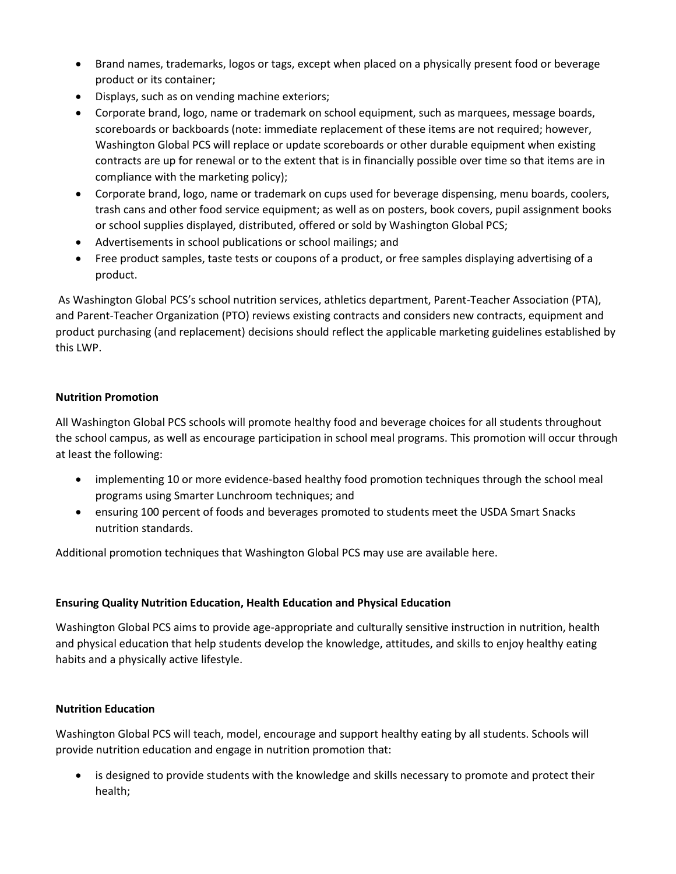- Brand names, trademarks, logos or tags, except when placed on a physically present food or beverage product or its container;
- Displays, such as on vending machine exteriors;
- Corporate brand, logo, name or trademark on school equipment, such as marquees, message boards, scoreboards or backboards (note: immediate replacement of these items are not required; however, Washington Global PCS will replace or update scoreboards or other durable equipment when existing contracts are up for renewal or to the extent that is in financially possible over time so that items are in compliance with the marketing policy);
- Corporate brand, logo, name or trademark on cups used for beverage dispensing, menu boards, coolers, trash cans and other food service equipment; as well as on posters, book covers, pupil assignment books or school supplies displayed, distributed, offered or sold by Washington Global PCS;
- Advertisements in school publications or school mailings; and
- Free product samples, taste tests or coupons of a product, or free samples displaying advertising of a product.

As Washington Global PCS's school nutrition services, athletics department, Parent-Teacher Association (PTA), and Parent-Teacher Organization (PTO) reviews existing contracts and considers new contracts, equipment and product purchasing (and replacement) decisions should reflect the applicable marketing guidelines established by this LWP.

# **Nutrition Promotion**

All Washington Global PCS schools will promote healthy food and beverage choices for all students throughout the school campus, as well as encourage participation in school meal programs. This promotion will occur through at least the following:

- implementing 10 or more evidence-based healthy food promotion techniques through the school meal programs using Smarter Lunchroom techniques; and
- ensuring 100 percent of foods and beverages promoted to students meet the USDA Smart Snacks nutrition standards.

Additional promotion techniques that Washington Global PCS may use are available here.

#### **Ensuring Quality Nutrition Education, Health Education and Physical Education**

Washington Global PCS aims to provide age-appropriate and culturally sensitive instruction in nutrition, health and physical education that help students develop the knowledge, attitudes, and skills to enjoy healthy eating habits and a physically active lifestyle.

#### **Nutrition Education**

Washington Global PCS will teach, model, encourage and support healthy eating by all students. Schools will provide nutrition education and engage in nutrition promotion that:

 is designed to provide students with the knowledge and skills necessary to promote and protect their health;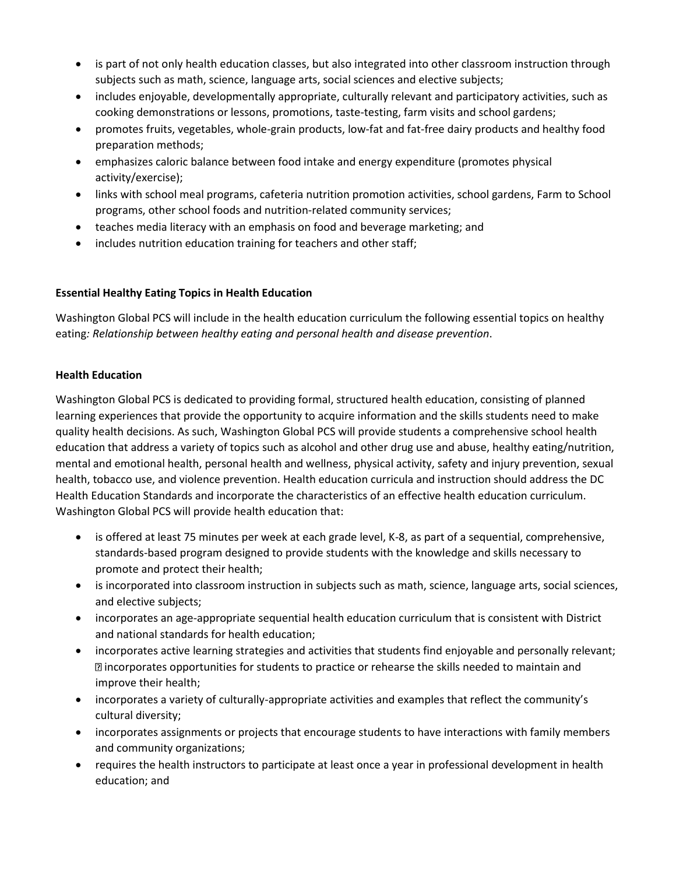- is part of not only health education classes, but also integrated into other classroom instruction through subjects such as math, science, language arts, social sciences and elective subjects;
- includes enjoyable, developmentally appropriate, culturally relevant and participatory activities, such as cooking demonstrations or lessons, promotions, taste-testing, farm visits and school gardens;
- promotes fruits, vegetables, whole-grain products, low-fat and fat-free dairy products and healthy food preparation methods;
- emphasizes caloric balance between food intake and energy expenditure (promotes physical activity/exercise);
- links with school meal programs, cafeteria nutrition promotion activities, school gardens, Farm to School programs, other school foods and nutrition-related community services;
- teaches media literacy with an emphasis on food and beverage marketing; and
- includes nutrition education training for teachers and other staff;

# **Essential Healthy Eating Topics in Health Education**

Washington Global PCS will include in the health education curriculum the following essential topics on healthy eating*: Relationship between healthy eating and personal health and disease prevention*.

# **Health Education**

Washington Global PCS is dedicated to providing formal, structured health education, consisting of planned learning experiences that provide the opportunity to acquire information and the skills students need to make quality health decisions. As such, Washington Global PCS will provide students a comprehensive school health education that address a variety of topics such as alcohol and other drug use and abuse, healthy eating/nutrition, mental and emotional health, personal health and wellness, physical activity, safety and injury prevention, sexual health, tobacco use, and violence prevention. Health education curricula and instruction should address the DC Health Education Standards and incorporate the characteristics of an effective health education curriculum. Washington Global PCS will provide health education that:

- is offered at least 75 minutes per week at each grade level, K-8, as part of a sequential, comprehensive, standards-based program designed to provide students with the knowledge and skills necessary to promote and protect their health;
- is incorporated into classroom instruction in subjects such as math, science, language arts, social sciences, and elective subjects;
- incorporates an age-appropriate sequential health education curriculum that is consistent with District and national standards for health education;
- incorporates active learning strategies and activities that students find enjoyable and personally relevant; incorporates opportunities for students to practice or rehearse the skills needed to maintain and improve their health;
- incorporates a variety of culturally-appropriate activities and examples that reflect the community's cultural diversity;
- incorporates assignments or projects that encourage students to have interactions with family members and community organizations;
- requires the health instructors to participate at least once a year in professional development in health education; and